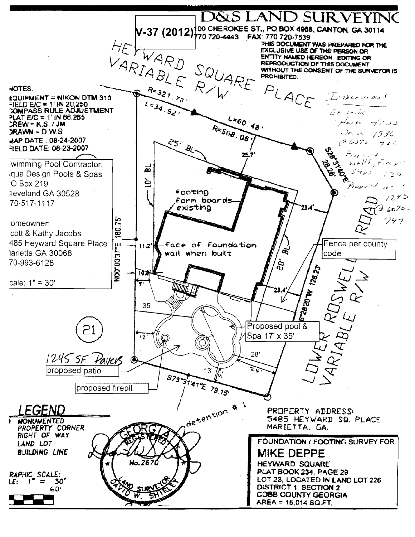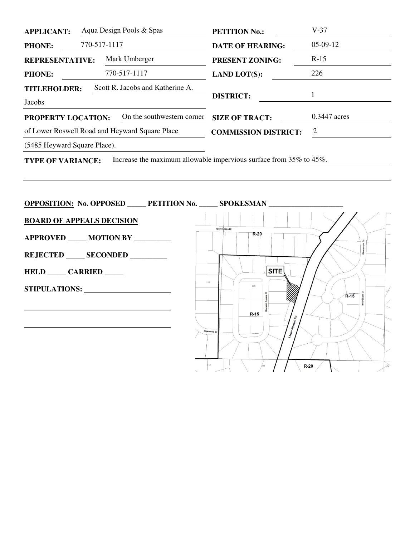| <b>APPLICANT:</b>                              |              | Aqua Design Pools & Spas         | <b>PETITION No.:</b>                                               | $V-37$         |
|------------------------------------------------|--------------|----------------------------------|--------------------------------------------------------------------|----------------|
| <b>PHONE:</b>                                  | 770-517-1117 |                                  | <b>DATE OF HEARING:</b>                                            | $05-09-12$     |
| <b>REPRESENTATIVE:</b><br><b>PHONE:</b>        |              | Mark Umberger                    | <b>PRESENT ZONING:</b><br><b>LAND LOT(S):</b>                      | $R-15$         |
|                                                |              | 770-517-1117                     |                                                                    | 226            |
| <b>TITLEHOLDER:</b>                            |              | Scott R. Jacobs and Katherine A. |                                                                    |                |
| Jacobs                                         |              |                                  | <b>DISTRICT:</b>                                                   |                |
| <b>PROPERTY LOCATION:</b>                      |              | On the southwestern corner       | <b>SIZE OF TRACT:</b>                                              | $0.3447$ acres |
| of Lower Roswell Road and Heyward Square Place |              |                                  | <b>COMMISSION DISTRICT:</b>                                        | 2              |
| (5485 Heyward Square Place).                   |              |                                  |                                                                    |                |
| <b>TYPE OF VARIANCE:</b>                       |              |                                  | Increase the maximum allowable impervious surface from 35% to 45%. |                |

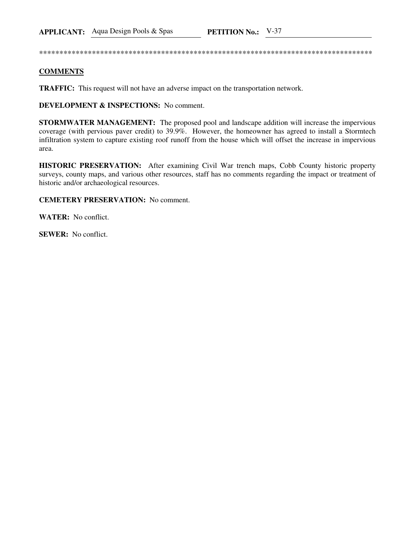## **COMMENTS**

**TRAFFIC:** This request will not have an adverse impact on the transportation network.

**DEVELOPMENT & INSPECTIONS:** No comment.

STORMWATER MANAGEMENT: The proposed pool and landscape addition will increase the impervious coverage (with pervious paver credit) to 39.9%. However, the homeowner has agreed to install a Stormtech infiltration system to capture existing roof runoff from the house which will offset the increase in impervious area.

**HISTORIC PRESERVATION:** After examining Civil War trench maps, Cobb County historic property surveys, county maps, and various other resources, staff has no comments regarding the impact or treatment of historic and/or archaeological resources.

## **CEMETERY PRESERVATION:** No comment.

**WATER:** No conflict.

**SEWER:** No conflict.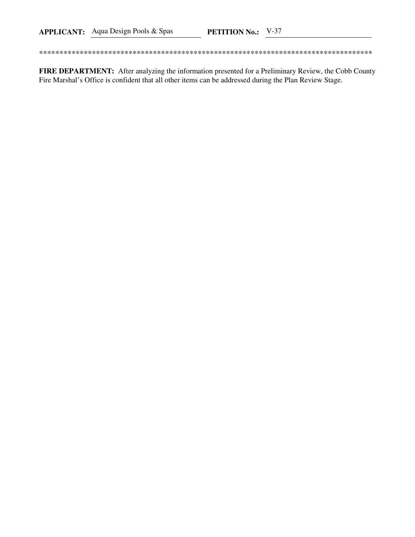FIRE DEPARTMENT: After analyzing the information presented for a Preliminary Review, the Cobb County Fire Marshal's Office is confident that all other items can be addressed during the Plan Review Stage.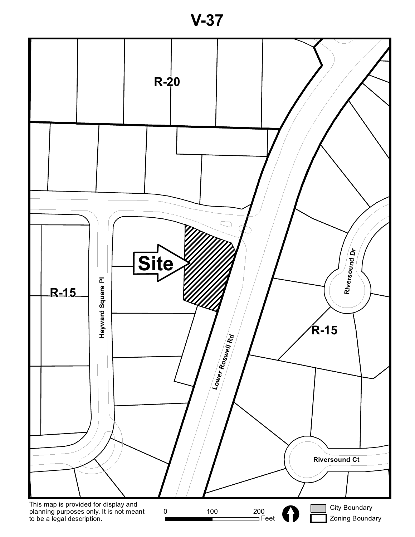

**V-37**